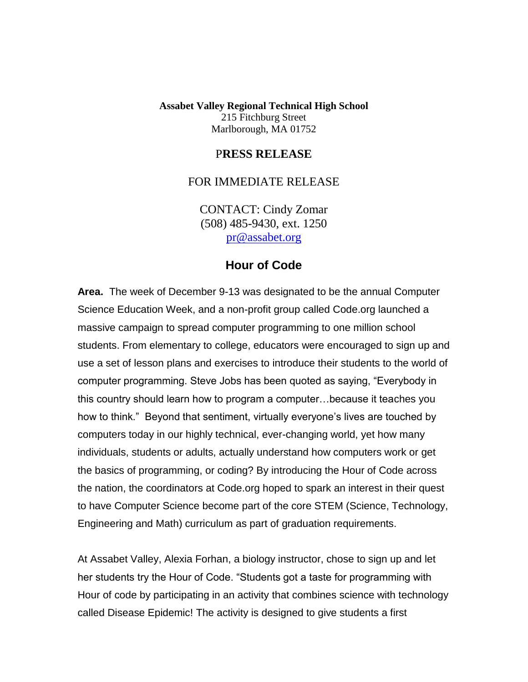**Assabet Valley Regional Technical High School** 215 Fitchburg Street Marlborough, MA 01752

## P**RESS RELEASE**

## FOR IMMEDIATE RELEASE

CONTACT: Cindy Zomar (508) 485-9430, ext. 1250 [pr@assabet.org](mailto:pr@assabet.org)

## **Hour of Code**

**Area.** The week of December 9-13 was designated to be the annual Computer Science Education Week, and a non-profit group called Code.org launched a massive campaign to spread computer programming to one million school students. From elementary to college, educators were encouraged to sign up and use a set of lesson plans and exercises to introduce their students to the world of computer programming. Steve Jobs has been quoted as saying, "Everybody in this country should learn how to program a computer…because it teaches you how to think." Beyond that sentiment, virtually everyone's lives are touched by computers today in our highly technical, ever-changing world, yet how many individuals, students or adults, actually understand how computers work or get the basics of programming, or coding? By introducing the Hour of Code across the nation, the coordinators at Code.org hoped to spark an interest in their quest to have Computer Science become part of the core STEM (Science, Technology, Engineering and Math) curriculum as part of graduation requirements.

At Assabet Valley, Alexia Forhan, a biology instructor, chose to sign up and let her students try the Hour of Code. "Students got a taste for programming with Hour of code by participating in an activity that combines science with technology called Disease Epidemic! The activity is designed to give students a first